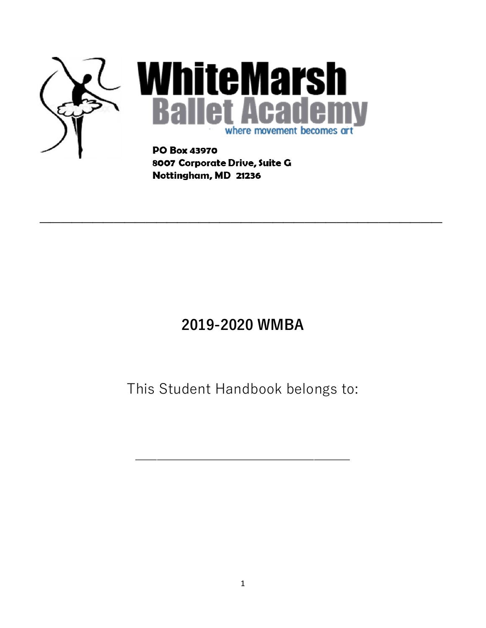

8007 Corporate Drive, Suite G Nottingham, MD 21236

# **2019-2020 WMBA**

**\_\_\_\_\_\_\_\_\_\_\_\_\_\_\_\_\_\_\_\_\_\_\_\_\_\_\_\_\_\_\_\_\_\_\_\_\_\_**

n

# This Student Handbook belongs to:

\_\_\_\_\_\_\_\_\_\_\_\_\_\_\_\_\_\_\_\_\_\_\_\_\_\_\_\_\_\_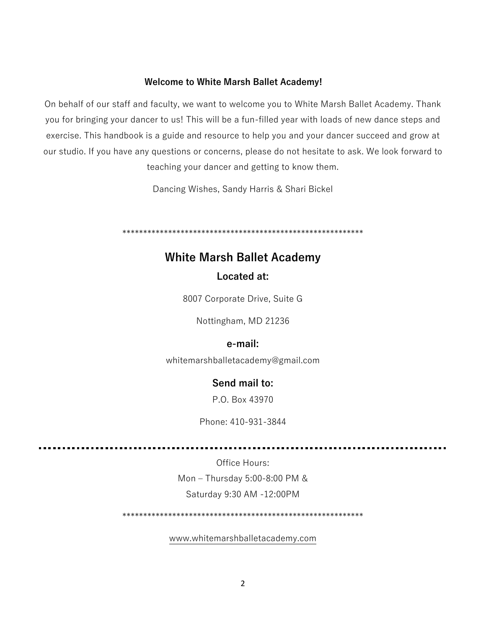#### **Welcome to White Marsh Ballet Academy!**

On behalf of our staff and faculty, we want to welcome you to White Marsh Ballet Academy. Thank you for bringing your dancer to us! This will be a fun-filled year with loads of new dance steps and exercise. This handbook is a guide and resource to help you and your dancer succeed and grow at our studio. If you have any questions or concerns, please do not hesitate to ask. We look forward to teaching your dancer and getting to know them.

Dancing Wishes, Sandy Harris & Shari Bickel

\*\*\*\*\*\*\*\*\*\*\*\*\*\*\*\*\*\*\*\*\*\*\*\*\*\*\*\*\*\*\*\*\*\*\*\*\*\*\*\*\*\*\*\*\*\*\*\*\*\*\*\*\*\*\*\*\*\*

### **White Marsh Ballet Academy Located at:**

8007 Corporate Drive, Suite G

Nottingham, MD 21236

### **e-mail:**

whitemarshballetacademy@gmail.com

### **Send mail to:**

P.O. Box 43970

Phone: 410-931-3844

Office Hours: Mon – Thursday 5:00-8:00 PM & Saturday 9:30 AM -12:00PM

\*\*\*\*\*\*\*\*\*\*\*\*\*\*\*\*\*\*\*\*\*\*\*\*\*\*\*\*\*\*\*\*\*\*\*\*\*\*\*\*\*\*\*\*\*\*\*\*\*\*\*\*\*\*\*\*\*\*

[www.whitemarshballetacademy.com](http://www.whitemarshballetacademy.com/)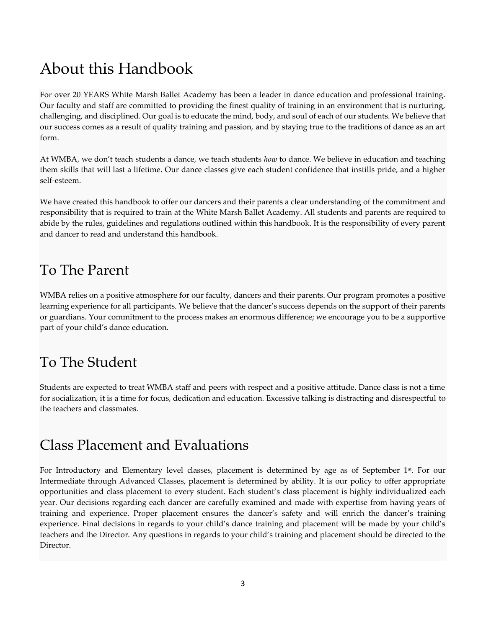# About this Handbook

For over 20 YEARS White Marsh Ballet Academy has been a leader in dance education and professional training. Our faculty and staff are committed to providing the finest quality of training in an environment that is nurturing, challenging, and disciplined. Our goal is to educate the mind, body, and soul of each of our students. We believe that our success comes as a result of quality training and passion, and by staying true to the traditions of dance as an art form.

At WMBA, we don't teach students a dance, we teach students *how* to dance. We believe in education and teaching them skills that will last a lifetime. Our dance classes give each student confidence that instills pride, and a higher self-esteem.

We have created this handbook to offer our dancers and their parents a clear understanding of the commitment and responsibility that is required to train at the White Marsh Ballet Academy. All students and parents are required to abide by the rules, guidelines and regulations outlined within this handbook. It is the responsibility of every parent and dancer to read and understand this handbook.

### To The Parent

WMBA relies on a positive atmosphere for our faculty, dancers and their parents. Our program promotes a positive learning experience for all participants. We believe that the dancer's success depends on the support of their parents or guardians. Your commitment to the process makes an enormous difference; we encourage you to be a supportive part of your child's dance education.

# To The Student

Students are expected to treat WMBA staff and peers with respect and a positive attitude. Dance class is not a time for socialization, it is a time for focus, dedication and education. Excessive talking is distracting and disrespectful to the teachers and classmates.

## Class Placement and Evaluations

For Introductory and Elementary level classes, placement is determined by age as of September 1<sup>st</sup>. For our Intermediate through Advanced Classes, placement is determined by ability. It is our policy to offer appropriate opportunities and class placement to every student. Each student's class placement is highly individualized each year. Our decisions regarding each dancer are carefully examined and made with expertise from having years of training and experience. Proper placement ensures the dancer's safety and will enrich the dancer's training experience. Final decisions in regards to your child's dance training and placement will be made by your child's teachers and the Director. Any questions in regards to your child's training and placement should be directed to the Director.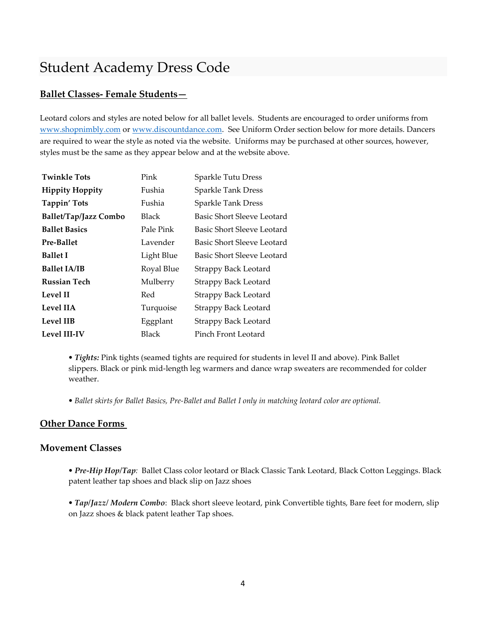### Student Academy Dress Code

#### **Ballet Classes- Female Students—**

Leotard colors and styles are noted below for all ballet levels. Students are encouraged to order uniforms from [www.shopnimbly.com](http://www.shopnimbly.com/) o[r www.discountdance.com.](http://www.discountdance.com/) See Uniform Order section below for more details. Dancers are required to wear the style as noted via the website. Uniforms may be purchased at other sources, however, styles must be the same as they appear below and at the website above.

| <b>Twinkle Tots</b>          | Pink       | Sparkle Tutu Dress          |
|------------------------------|------------|-----------------------------|
| <b>Hippity Hoppity</b>       | Fushia     | <b>Sparkle Tank Dress</b>   |
| Tappin' Tots                 | Fushia     | <b>Sparkle Tank Dress</b>   |
| <b>Ballet/Tap/Jazz Combo</b> | Black      | Basic Short Sleeve Leotard  |
| <b>Ballet Basics</b>         | Pale Pink  | Basic Short Sleeve Leotard  |
| <b>Pre-Ballet</b>            | Lavender   | Basic Short Sleeve Leotard  |
| <b>Ballet I</b>              | Light Blue | Basic Short Sleeve Leotard  |
| <b>Ballet IA/IB</b>          | Royal Blue | <b>Strappy Back Leotard</b> |
| <b>Russian Tech</b>          | Mulberry   | <b>Strappy Back Leotard</b> |
| <b>Level II</b>              | Red        | <b>Strappy Back Leotard</b> |
| <b>Level IIA</b>             | Turquoise  | <b>Strappy Back Leotard</b> |
| Level IIB                    | Eggplant   | <b>Strappy Back Leotard</b> |
| <b>Level III-IV</b>          | Black      | Pinch Front Leotard         |

*• Tights:* Pink tights (seamed tights are required for students in level II and above). Pink Ballet slippers. Black or pink mid-length leg warmers and dance wrap sweaters are recommended for colder weather.

*• Ballet skirts for Ballet Basics, Pre-Ballet and Ballet I only in matching leotard color are optional.*

#### **Other Dance Forms**

#### **Movement Classes**

*• Pre-Hip Hop/Tap:* Ballet Class color leotard or Black Classic Tank Leotard*,* Black Cotton Leggings. Black patent leather tap shoes and black slip on Jazz shoes

*• Tap/Jazz/ Modern Combo*: Black short sleeve leotard, pink Convertible tights, Bare feet for modern, slip on Jazz shoes & black patent leather Tap shoes.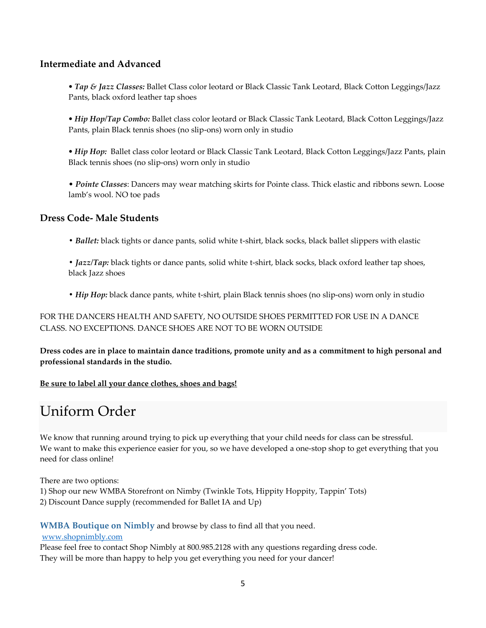#### **Intermediate and Advanced**

*• Tap & Jazz Classes:* Ballet Class color leotard or Black Classic Tank Leotard*,* Black Cotton Leggings/Jazz Pants, black oxford leather tap shoes

*• Hip Hop/Tap Combo:* Ballet class color leotard or Black Classic Tank Leotard*,* Black Cotton Leggings/Jazz Pants, plain Black tennis shoes (no slip-ons) worn only in studio

*• Hip Hop:* Ballet class color leotard or Black Classic Tank Leotard*,* Black Cotton Leggings/Jazz Pants, plain Black tennis shoes (no slip-ons) worn only in studio

• *Pointe Classes*: Dancers may wear matching skirts for Pointe class. Thick elastic and ribbons sewn. Loose lamb's wool. NO toe pads

#### **Dress Code- Male Students**

*• Ballet:* black tights or dance pants, solid white t-shirt, black socks, black ballet slippers with elastic

*• Jazz/Tap:* black tights or dance pants, solid white t-shirt, black socks, black oxford leather tap shoes, black Jazz shoes

*• Hip Hop:* black dance pants, white t-shirt, plain Black tennis shoes (no slip-ons) worn only in studio

FOR THE DANCERS HEALTH AND SAFETY, NO OUTSIDE SHOES PERMITTED FOR USE IN A DANCE CLASS. NO EXCEPTIONS. DANCE SHOES ARE NOT TO BE WORN OUTSIDE

**Dress codes are in place to maintain dance traditions, promote unity and as a commitment to high personal and professional standards in the studio.**

#### **Be sure to label all your dance clothes, shoes and bags!**

### Uniform Order

We know that running around trying to pick up everything that your child needs for class can be stressful. We want to make this experience easier for you, so we have developed a one-stop shop to get everything that you need for class online!

There are two options:

1) Shop our new WMBA Storefront on Nimby (Twinkle Tots, Hippity Hoppity, Tappin' Tots) 2) Discount Dance supply (recommended for Ballet IA and Up)

**WMBA Boutique on Nimbly** and browse by class to find all that you need.

[www.shopnimbly.com](http://www.shopnimbly.com/)

Please feel free to contact Shop Nimbly at 800.985.2128 with any questions regarding dress code. They will be more than happy to help you get everything you need for your dancer!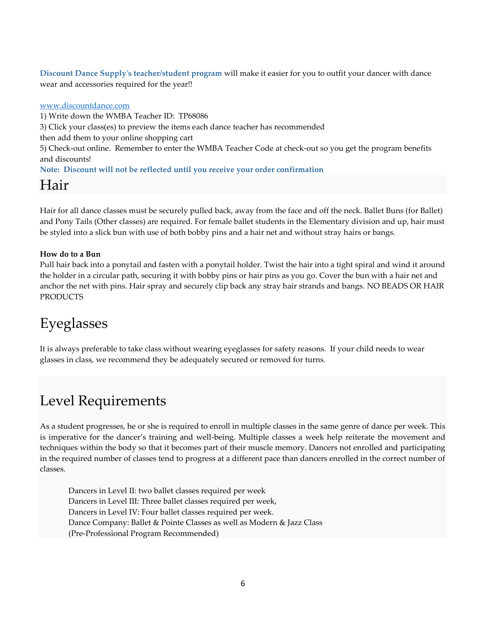**Discount Dance Supply's teacher/student program** will make it easier for you to outfit your dancer with dance wear and accessories required for the year!!

[www.discountdance.com](http://www.discountdance.com/)

1) Write down the WMBA Teacher ID: TP68086 3) Click your class(es) to preview the items each dance teacher has recommended then add them to your online shopping cart 5) Check-out online. Remember to enter the WMBA Teacher Code at check-out so you get the program benefits and discounts! **Note: Discount will not be reflected until you receive your order confirmation**

### Hair

Hair for all dance classes must be securely pulled back, away from the face and off the neck. Ballet Buns (for Ballet) and Pony Tails (Other classes) are required. For female ballet students in the Elementary division and up, hair must be styled into a slick bun with use of both bobby pins and a hair net and without stray hairs or bangs.

#### **How do to a Bun**

Pull hair back into a ponytail and fasten with a ponytail holder. Twist the hair into a tight spiral and wind it around the holder in a circular path, securing it with bobby pins or hair pins as you go. Cover the bun with a hair net and anchor the net with pins. Hair spray and securely clip back any stray hair strands and bangs. NO BEADS OR HAIR PRODUCTS

# Eyeglasses

It is always preferable to take class without wearing eyeglasses for safety reasons. If your child needs to wear glasses in class, we recommend they be adequately secured or removed for turns.

## Level Requirements

As a student progresses, he or she is required to enroll in multiple classes in the same genre of dance per week. This is imperative for the dancer's training and well-being. Multiple classes a week help reiterate the movement and techniques within the body so that it becomes part of their muscle memory. Dancers not enrolled and participating in the required number of classes tend to progress at a different pace than dancers enrolled in the correct number of classes.

Dancers in Level II: two ballet classes required per week Dancers in Level III: Three ballet classes required per week, Dancers in Level IV: Four ballet classes required per week. Dance Company: Ballet & Pointe Classes as well as Modern & Jazz Class (Pre-Professional Program Recommended)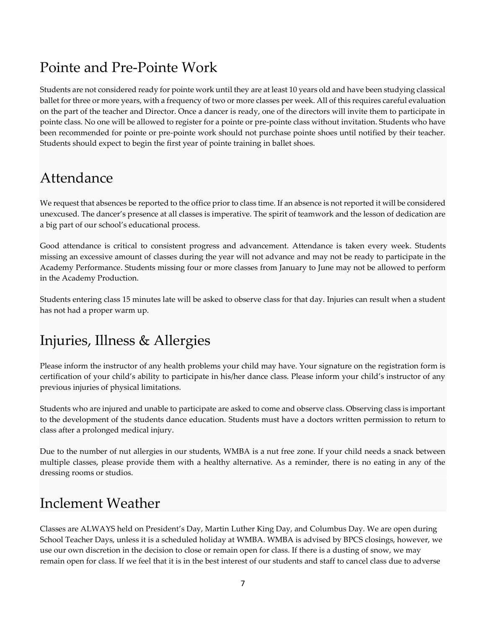## Pointe and Pre-Pointe Work

Students are not considered ready for pointe work until they are at least 10 years old and have been studying classical ballet for three or more years, with a frequency of two or more classes per week. All of this requires careful evaluation on the part of the teacher and Director. Once a dancer is ready, one of the directors will invite them to participate in pointe class. No one will be allowed to register for a pointe or pre-pointe class without invitation. Students who have been recommended for pointe or pre-pointe work should not purchase pointe shoes until notified by their teacher. Students should expect to begin the first year of pointe training in ballet shoes.

### Attendance

We request that absences be reported to the office prior to class time. If an absence is not reported it will be considered unexcused. The dancer's presence at all classes is imperative. The spirit of teamwork and the lesson of dedication are a big part of our school's educational process.

Good attendance is critical to consistent progress and advancement. Attendance is taken every week. Students missing an excessive amount of classes during the year will not advance and may not be ready to participate in the Academy Performance. Students missing four or more classes from January to June may not be allowed to perform in the Academy Production.

Students entering class 15 minutes late will be asked to observe class for that day. Injuries can result when a student has not had a proper warm up.

# Injuries, Illness & Allergies

Please inform the instructor of any health problems your child may have. Your signature on the registration form is certification of your child's ability to participate in his/her dance class. Please inform your child's instructor of any previous injuries of physical limitations.

Students who are injured and unable to participate are asked to come and observe class. Observing class is important to the development of the students dance education. Students must have a doctors written permission to return to class after a prolonged medical injury.

Due to the number of nut allergies in our students, WMBA is a nut free zone. If your child needs a snack between multiple classes, please provide them with a healthy alternative. As a reminder, there is no eating in any of the dressing rooms or studios.

## Inclement Weather

Classes are ALWAYS held on President's Day, Martin Luther King Day, and Columbus Day. We are open during School Teacher Days, unless it is a scheduled holiday at WMBA. WMBA is advised by BPCS closings, however, we use our own discretion in the decision to close or remain open for class. If there is a dusting of snow, we may remain open for class. If we feel that it is in the best interest of our students and staff to cancel class due to adverse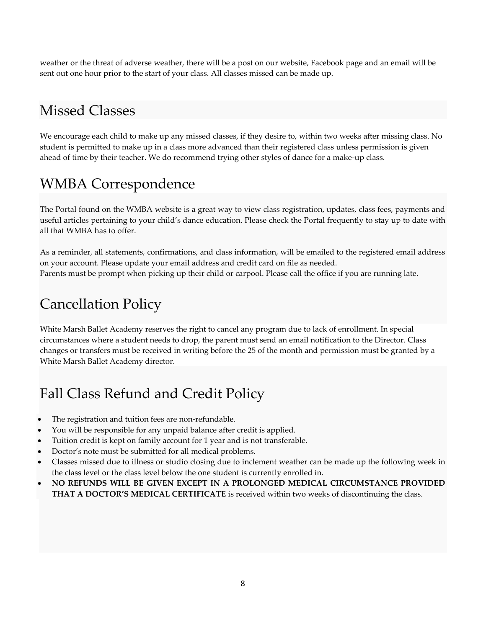weather or the threat of adverse weather, there will be a post on our website, Facebook page and an email will be sent out one hour prior to the start of your class. All classes missed can be made up.

## Missed Classes

We encourage each child to make up any missed classes, if they desire to, within two weeks after missing class. No student is permitted to make up in a class more advanced than their registered class unless permission is given ahead of time by their teacher. We do recommend trying other styles of dance for a make-up class.

# WMBA Correspondence

The Portal found on the WMBA website is a great way to view class registration, updates, class fees, payments and useful articles pertaining to your child's dance education. Please check the Portal frequently to stay up to date with all that WMBA has to offer.

As a reminder, all statements, confirmations, and class information, will be emailed to the registered email address on your account. Please update your email address and credit card on file as needed. Parents must be prompt when picking up their child or carpool. Please call the office if you are running late.

# Cancellation Policy

White Marsh Ballet Academy reserves the right to cancel any program due to lack of enrollment. In special circumstances where a student needs to drop, the parent must send an email notification to the Director. Class changes or transfers must be received in writing before the 25 of the month and permission must be granted by a White Marsh Ballet Academy director.

# Fall Class Refund and Credit Policy

- The registration and tuition fees are non-refundable.
- You will be responsible for any unpaid balance after credit is applied.
- Tuition credit is kept on family account for 1 year and is not transferable.
- Doctor's note must be submitted for all medical problems.
- Classes missed due to illness or studio closing due to inclement weather can be made up the following week in the class level or the class level below the one student is currently enrolled in.
- **NO REFUNDS WILL BE GIVEN EXCEPT IN A PROLONGED MEDICAL CIRCUMSTANCE PROVIDED THAT A DOCTOR'S MEDICAL CERTIFICATE** is received within two weeks of discontinuing the class.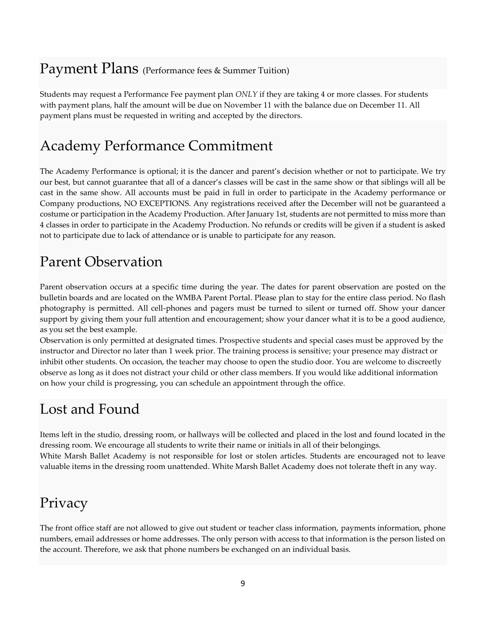### Payment Plans (Performance fees & Summer Tuition)

Students may request a Performance Fee payment plan *ONLY* if they are taking 4 or more classes. For students with payment plans, half the amount will be due on November 11 with the balance due on December 11. All payment plans must be requested in writing and accepted by the directors.

## Academy Performance Commitment

The Academy Performance is optional; it is the dancer and parent's decision whether or not to participate. We try our best, but cannot guarantee that all of a dancer's classes will be cast in the same show or that siblings will all be cast in the same show. All accounts must be paid in full in order to participate in the Academy performance or Company productions, NO EXCEPTIONS. Any registrations received after the December will not be guaranteed a costume or participation in the Academy Production. After January 1st, students are not permitted to miss more than 4 classes in order to participate in the Academy Production. No refunds or credits will be given if a student is asked not to participate due to lack of attendance or is unable to participate for any reason.

# Parent Observation

Parent observation occurs at a specific time during the year. The dates for parent observation are posted on the bulletin boards and are located on the WMBA Parent Portal. Please plan to stay for the entire class period. No flash photography is permitted. All cell-phones and pagers must be turned to silent or turned off. Show your dancer support by giving them your full attention and encouragement; show your dancer what it is to be a good audience, as you set the best example.

Observation is only permitted at designated times. Prospective students and special cases must be approved by the instructor and Director no later than 1 week prior. The training process is sensitive; your presence may distract or inhibit other students. On occasion, the teacher may choose to open the studio door. You are welcome to discreetly observe as long as it does not distract your child or other class members. If you would like additional information on how your child is progressing, you can schedule an appointment through the office.

## Lost and Found

Items left in the studio, dressing room, or hallways will be collected and placed in the lost and found located in the dressing room. We encourage all students to write their name or initials in all of their belongings. White Marsh Ballet Academy is not responsible for lost or stolen articles. Students are encouraged not to leave valuable items in the dressing room unattended. White Marsh Ballet Academy does not tolerate theft in any way.

## Privacy

The front office staff are not allowed to give out student or teacher class information, payments information, phone numbers, email addresses or home addresses. The only person with access to that information is the person listed on the account. Therefore, we ask that phone numbers be exchanged on an individual basis.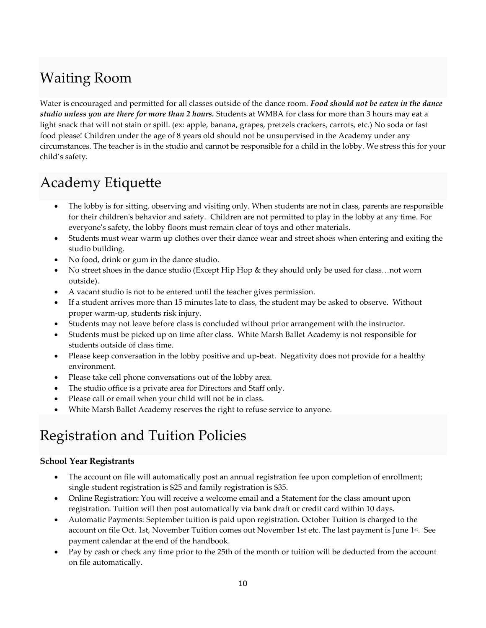# Waiting Room

Water is encouraged and permitted for all classes outside of the dance room. *Food should not be eaten in the dance studio unless you are there for more than 2 hours.* Students at WMBA for class for more than 3 hours may eat a light snack that will not stain or spill. (ex: apple, banana, grapes, pretzels crackers, carrots, etc.) No soda or fast food please! Children under the age of 8 years old should not be unsupervised in the Academy under any circumstances. The teacher is in the studio and cannot be responsible for a child in the lobby. We stress this for your child's safety.

# Academy Etiquette

- The lobby is for sitting, observing and visiting only. When students are not in class, parents are responsible for their children's behavior and safety. Children are not permitted to play in the lobby at any time. For everyone's safety, the lobby floors must remain clear of toys and other materials.
- Students must wear warm up clothes over their dance wear and street shoes when entering and exiting the studio building.
- No food, drink or gum in the dance studio.
- No street shoes in the dance studio (Except Hip Hop & they should only be used for class…not worn outside).
- A vacant studio is not to be entered until the teacher gives permission.
- If a student arrives more than 15 minutes late to class, the student may be asked to observe. Without proper warm-up, students risk injury.
- Students may not leave before class is concluded without prior arrangement with the instructor.
- Students must be picked up on time after class. White Marsh Ballet Academy is not responsible for students outside of class time.
- Please keep conversation in the lobby positive and up-beat. Negativity does not provide for a healthy environment.
- Please take cell phone conversations out of the lobby area.
- The studio office is a private area for Directors and Staff only.
- Please call or email when your child will not be in class.
- White Marsh Ballet Academy reserves the right to refuse service to anyone.

# Registration and Tuition Policies

#### **School Year Registrants**

- The account on file will automatically post an annual registration fee upon completion of enrollment; single student registration is \$25 and family registration is \$35.
- Online Registration: You will receive a welcome email and a Statement for the class amount upon registration. Tuition will then post automatically via bank draft or credit card within 10 days.
- Automatic Payments: September tuition is paid upon registration. October Tuition is charged to the account on file Oct. 1st, November Tuition comes out November 1st etc. The last payment is June 1st. See payment calendar at the end of the handbook.
- Pay by cash or check any time prior to the 25th of the month or tuition will be deducted from the account on file automatically.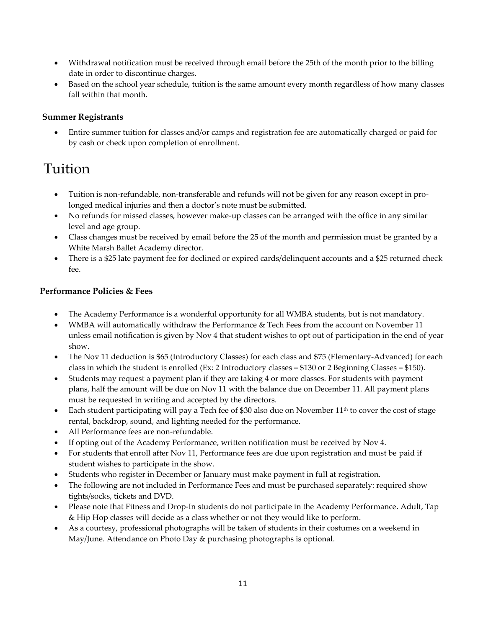- Withdrawal notification must be received through email before the 25th of the month prior to the billing date in order to discontinue charges.
- Based on the school year schedule, tuition is the same amount every month regardless of how many classes fall within that month.

#### **Summer Registrants**

• Entire summer tuition for classes and/or camps and registration fee are automatically charged or paid for by cash or check upon completion of enrollment.

### Tuition

- Tuition is non-refundable, non-transferable and refunds will not be given for any reason except in prolonged medical injuries and then a doctor's note must be submitted.
- No refunds for missed classes, however make-up classes can be arranged with the office in any similar level and age group.
- Class changes must be received by email before the 25 of the month and permission must be granted by a White Marsh Ballet Academy director.
- There is a \$25 late payment fee for declined or expired cards/delinquent accounts and a \$25 returned check fee.

#### **Performance Policies & Fees**

- The Academy Performance is a wonderful opportunity for all WMBA students, but is not mandatory.
- WMBA will automatically withdraw the Performance & Tech Fees from the account on November 11 unless email notification is given by Nov 4 that student wishes to opt out of participation in the end of year show.
- The Nov 11 deduction is \$65 (Introductory Classes) for each class and \$75 (Elementary-Advanced) for each class in which the student is enrolled (Ex: 2 Introductory classes = \$130 or 2 Beginning Classes = \$150).
- Students may request a payment plan if they are taking 4 or more classes. For students with payment plans, half the amount will be due on Nov 11 with the balance due on December 11. All payment plans must be requested in writing and accepted by the directors.
- Each student participating will pay a Tech fee of \$30 also due on November  $11<sup>th</sup>$  to cover the cost of stage rental, backdrop, sound, and lighting needed for the performance.
- All Performance fees are non-refundable.
- If opting out of the Academy Performance, written notification must be received by Nov 4.
- For students that enroll after Nov 11, Performance fees are due upon registration and must be paid if student wishes to participate in the show.
- Students who register in December or January must make payment in full at registration.
- The following are not included in Performance Fees and must be purchased separately: required show tights/socks, tickets and DVD.
- Please note that Fitness and Drop-In students do not participate in the Academy Performance. Adult, Tap & Hip Hop classes will decide as a class whether or not they would like to perform.
- As a courtesy, professional photographs will be taken of students in their costumes on a weekend in May/June. Attendance on Photo Day & purchasing photographs is optional.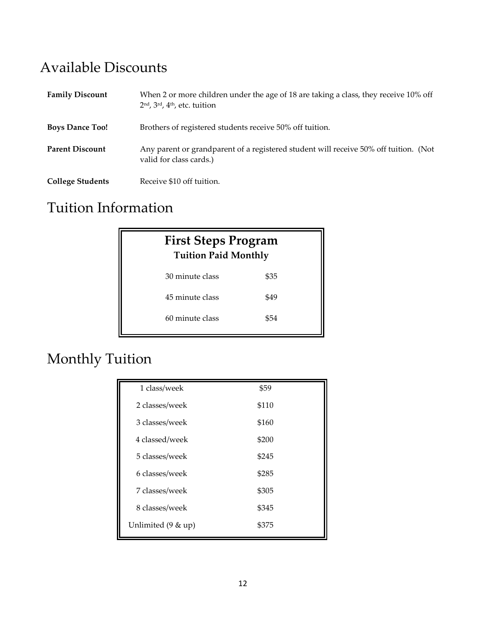## Available Discounts

| <b>Family Discount</b>  | When 2 or more children under the age of 18 are taking a class, they receive 10% off<br>$2nd$ , $3rd$ , $4th$ , etc. tuition |
|-------------------------|------------------------------------------------------------------------------------------------------------------------------|
| <b>Boys Dance Too!</b>  | Brothers of registered students receive 50% off tuition.                                                                     |
| <b>Parent Discount</b>  | Any parent or grandparent of a registered student will receive 50% off tuition. (Not<br>valid for class cards.)              |
| <b>College Students</b> | Receive \$10 off tuition.                                                                                                    |

# Tuition Information

| <b>First Steps Program</b><br><b>Tuition Paid Monthly</b> |      |  |
|-----------------------------------------------------------|------|--|
| 30 minute class                                           | \$35 |  |
| 45 minute class                                           | \$49 |  |
| 60 minute class                                           | \$54 |  |
|                                                           |      |  |

# Monthly Tuition

| 1 class/week       | \$59  |
|--------------------|-------|
| 2 classes/week     | \$110 |
| 3 classes/week     | \$160 |
| 4 classed/week     | \$200 |
| 5 classes/week     | \$245 |
| 6 classes/week     | \$285 |
| 7 classes/week     | \$305 |
| 8 classes/week     | \$345 |
| Unlimited (9 & up) | \$375 |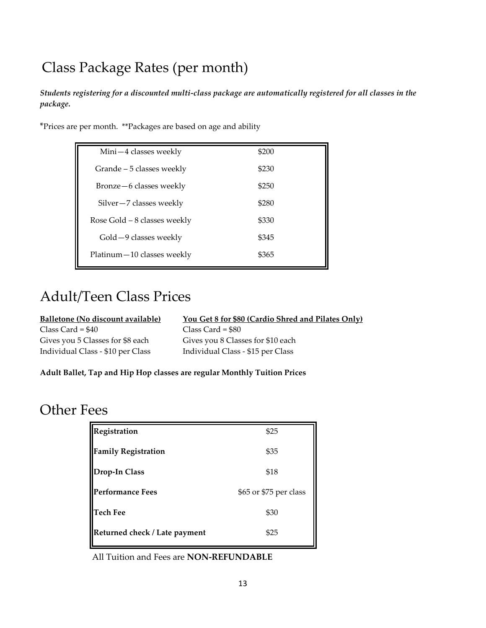# Class Package Rates (per month)

*Students registering for a discounted multi-class package are automatically registered for all classes in the package.*

\*Prices are per month. \*\*Packages are based on age and ability

| Mini-4 classes weekly         | \$200 |
|-------------------------------|-------|
| Grande – 5 classes weekly     | \$230 |
| Bronze-6 classes weekly       | \$250 |
| Silver-7 classes weekly       | \$280 |
| Rose Gold $-8$ classes weekly | \$330 |
| Gold -9 classes weekly        | \$345 |
| Platinum-10 classes weekly    | \$365 |

### Adult/Teen Class Prices

| <b>Balletone (No discount available)</b> | You Get 8 for \$80 (Cardio Shred and Pilates Only) |
|------------------------------------------|----------------------------------------------------|
| Class Card = \$40                        | $Class Card = $80$                                 |
| Gives you 5 Classes for \$8 each         | Gives you 8 Classes for \$10 each                  |
| Individual Class - \$10 per Class        | Individual Class - \$15 per Class                  |

**Adult Ballet, Tap and Hip Hop classes are regular Monthly Tuition Prices**

### Other Fees

| Registration                  | \$25                   |
|-------------------------------|------------------------|
| <b>Family Registration</b>    | \$35                   |
| Drop-In Class                 | \$18                   |
| <b>Performance Fees</b>       | \$65 or \$75 per class |
| <b>Tech Fee</b>               | \$30                   |
| Returned check / Late payment | \$25                   |

All Tuition and Fees are **NON-REFUNDABLE**